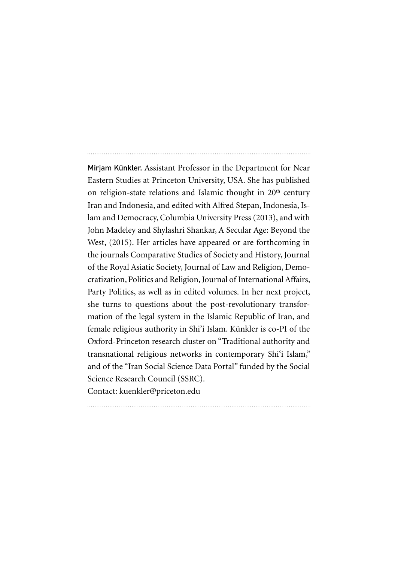Mirjam Künkler. Assistant Professor in the Department for Near Eastern Studies at Princeton University, USA. She has published on religion-state relations and Islamic thought in  $20<sup>th</sup>$  century Iran and Indonesia, and edited with Alfred Stepan, Indonesia, Islam and Democracy, Columbia University Press (2013), and with John Madeley and Shylashri Shankar, A Secular Age: Beyond the West, (2015). Her articles have appeared or are forthcoming in the journals Comparative Studies of Society and History, Journal of the Royal Asiatic Society, Journal of Law and Religion, Democratization, Politics and Religion, Journal of InternationalAffairs, Party Politics, as well as in edited volumes. In her next project, she turns to questions about the post-revolutionary transformation of the legal system in the Islamic Republic of Iran, and female religious authority in Shi'i Islam. Künkler is co-PI of the Oxford-Princeton research cluster on "Traditional authority and transnational religious networks in contemporary Shi'i Islam," and of the "Iran Social Science Data Portal" funded by the Social Science Research Council (SSRC).

Contact: kuenkler@priceton.edu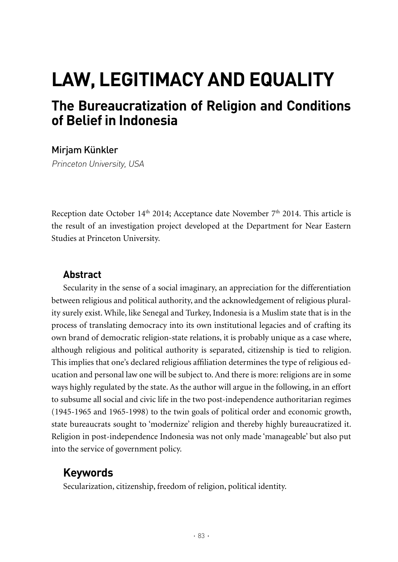# **Law, Legitimacy and Equality**

# **The Bureaucratization of Religion and Conditions of Belief in Indonesia**

#### Mirjam Künkler

Princeton University, USA

Reception date October 14<sup>th</sup> 2014; Acceptance date November  $7<sup>th</sup>$  2014. This article is the result of an investigation project developed at the Department for Near Eastern Studies at Princeton University.

## **Abstract**

Secularity in the sense of a social imaginary, an appreciation for the differentiation between religious and political authority, and the acknowledgement of religious plurality surely exist. While, like Senegal and Turkey, Indonesia is a Muslim state that is in the process of translating democracy into its own institutional legacies and of crafting its own brand of democratic religion-state relations, it is probably unique as a case where, although religious and political authority is separated, citizenship is tied to religion. This implies that one's declared religious affiliation determines the type of religious education and personal law one will be subject to. And there is more: religions are in some ways highly regulated by the state. As the author will argue in the following, in an effort to subsume all social and civic life in the two post-independence authoritarian regimes (1945-1965 and 1965-1998) to the twin goals of political order and economic growth, state bureaucrats sought to 'modernize' religion and thereby highly bureaucratized it. Religion in post-independence Indonesia was not only made 'manageable' but also put into the service of government policy.

# **Keywords**

Secularization, citizenship, freedom of religion, political identity.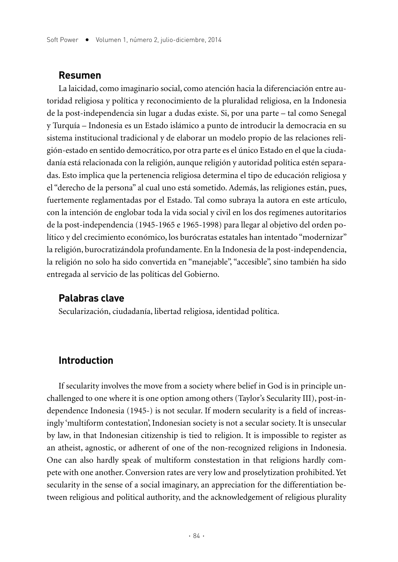#### **Resumen**

La laicidad, como imaginario social, como atención hacia la diferenciación entre autoridad religiosa y política y reconocimiento de la pluralidad religiosa, en la Indonesia de la post-independencia sin lugar a dudas existe. Si, por una parte – tal como Senegal y Turquía – Indonesia es un Estado islámico a punto de introducir la democracia en su sistema institucional tradicional y de elaborar un modelo propio de las relaciones religión-estado en sentido democrático, por otra parte es el único Estado en el que la ciudadanía está relacionada con la religión, aunque religión y autoridad política estén separadas. Esto implica que la pertenencia religiosa determina el tipo de educación religiosa y el "derecho de la persona" al cual uno está sometido. Además, las religiones están, pues, fuertemente reglamentadas por el Estado. Tal como subraya la autora en este artículo, con la intención de englobar toda la vida social y civil en los dos regímenes autoritarios de la post-independencia (1945-1965 e 1965-1998) para llegar al objetivo del orden político y del crecimiento económico, los burócratas estatales han intentado "modernizar" la religión, burocratizándola profundamente. En la Indonesia de la post-independencia, la religión no solo ha sido convertida en "manejable", "accesible", sino también ha sido entregada al servicio de las políticas del Gobierno.

#### **Palabras clave**

Secularización, ciudadanía, libertad religiosa, identidad política.

#### **Introduction**

If secularity involves the move from a society where belief in God is in principle unchallenged to one where it is one option among others (Taylor's Secularity III), post-independence Indonesia (1945-) is not secular. If modern secularity is a field of increasingly 'multiform contestation', Indonesian society is not a secular society. It is unsecular by law, in that Indonesian citizenship is tied to religion. It is impossible to register as an atheist, agnostic, or adherent of one of the non-recognized religions in Indonesia. One can also hardly speak of multiform constestation in that religions hardly compete with one another. Conversion rates are very low and proselytization prohibited. Yet secularity in the sense of a social imaginary, an appreciation for the differentiation between religious and political authority, and the acknowledgement of religious plurality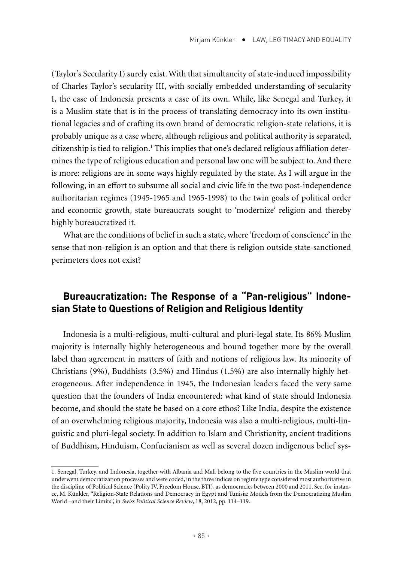(Taylor's Secularity I) surely exist. With that simultaneity of state-induced impossibility of Charles Taylor's secularity III, with socially embedded understanding of secularity I, the case of Indonesia presents a case of its own. While, like Senegal and Turkey, it is a Muslim state that is in the process of translating democracy into its own institutional legacies and of crafting its own brand of democratic religion-state relations, it is probably unique as a case where, although religious and political authority is separated, citizenship is tied to religion.<sup>1</sup> This implies that one's declared religious affiliation determines the type of religious education and personal law one will be subject to. And there is more: religions are in some ways highly regulated by the state. As I will argue in the following, in an effort to subsume all social and civic life in the two post-independence authoritarian regimes (1945-1965 and 1965-1998) to the twin goals of political order and economic growth, state bureaucrats sought to 'modernize' religion and thereby highly bureaucratized it.

What are the conditions of belief in such a state, where 'freedom of conscience' in the sense that non-religion is an option and that there is religion outside state-sanctioned perimeters does not exist?

## **Bureaucratization: The Response of a "Pan-religious" Indonesian State to Questions of Religion and Religious Identity**

Indonesia is a multi-religious, multi-cultural and pluri-legal state. Its 86% Muslim majority is internally highly heterogeneous and bound together more by the overall label than agreement in matters of faith and notions of religious law. Its minority of Christians (9%), Buddhists (3.5%) and Hindus (1.5%) are also internally highly heterogeneous. After independence in 1945, the Indonesian leaders faced the very same question that the founders of India encountered: what kind of state should Indonesia become, and should the state be based on a core ethos? Like India, despite the existence of an overwhelming religious majority, Indonesia was also a multi-religious, multi-linguistic and pluri-legal society. In addition to Islam and Christianity, ancient traditions of Buddhism, Hinduism, Confucianism as well as several dozen indigenous belief sys-

<sup>1.</sup> Senegal, Turkey, and Indonesia, together with Albania and Mali belong to the five countries in the Muslim world that underwent democratization processes and were coded, in the three indices on regime type considered most authoritative in the discipline of Political Science (Polity IV, Freedom House, BTI), as democracies between 2000 and 2011. See, for instance, M. Künkler, "Religion-State Relations and Democracy in Egypt and Tunisia: Models from the Democratizing Muslim World –and their Limits", in *Swiss Political Science Review*, 18, 2012, pp. 114–119.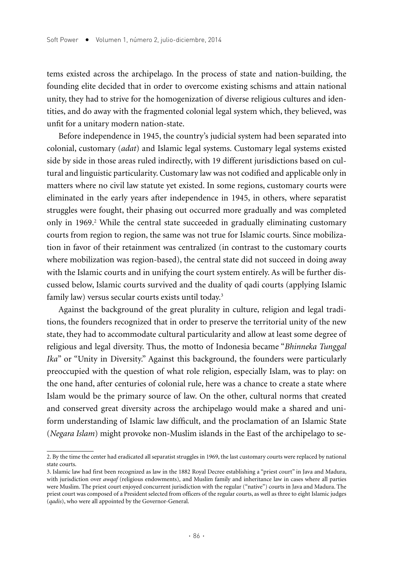tems existed across the archipelago. In the process of state and nation-building, the founding elite decided that in order to overcome existing schisms and attain national unity, they had to strive for the homogenization of diverse religious cultures and identities, and do away with the fragmented colonial legal system which, they believed, was unfit for a unitary modern nation-state.

Before independence in 1945, the country's judicial system had been separated into colonial, customary (*adat*) and Islamic legal systems. Customary legal systems existed side by side in those areas ruled indirectly, with 19 different jurisdictions based on cultural and linguistic particularity. Customary law was not codified and applicable only in matters where no civil law statute yet existed. In some regions, customary courts were eliminated in the early years after independence in 1945, in others, where separatist struggles were fought, their phasing out occurred more gradually and was completed only in 1969.<sup>2</sup> While the central state succeeded in gradually eliminating customary courts from region to region, the same was not true for Islamic courts. Since mobilization in favor of their retainment was centralized (in contrast to the customary courts where mobilization was region-based), the central state did not succeed in doing away with the Islamic courts and in unifying the court system entirely. As will be further discussed below, Islamic courts survived and the duality of qadi courts (applying Islamic family law) versus secular courts exists until today.<sup>3</sup>

Against the background of the great plurality in culture, religion and legal traditions, the founders recognized that in order to preserve the territorial unity of the new state, they had to accommodate cultural particularity and allow at least some degree of religious and legal diversity. Thus, the motto of Indonesia became "*Bhinneka Tunggal Ika*" or "Unity in Diversity." Against this background, the founders were particularly preoccupied with the question of what role religion, especially Islam, was to play: on the one hand, after centuries of colonial rule, here was a chance to create a state where Islam would be the primary source of law. On the other, cultural norms that created and conserved great diversity across the archipelago would make a shared and uniform understanding of Islamic law difficult, and the proclamation of an Islamic State (*Negara Islam*) might provoke non-Muslim islands in the East of the archipelago to se-

<sup>2.</sup> By the time the center had eradicated all separatist struggles in 1969, the last customary courts were replaced by national state courts.

<sup>3.</sup> Islamic law had first been recognized as law in the 1882 Royal Decree establishing a "priest court" in Java and Madura, with jurisdiction over *awqaf* (religious endowments), and Muslim family and inheritance law in cases where all parties were Muslim. The priest court enjoyed concurrent jurisdiction with the regular ("native") courts in Java and Madura. The priest court was composed of a President selected from officers of the regular courts, as well as three to eight Islamic judges (*qadis*), who were all appointed by the Governor-General.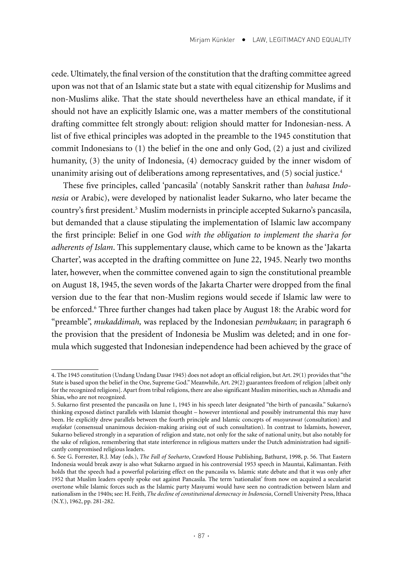cede. Ultimately, the final version of the constitution that the drafting committee agreed upon was not that of an Islamic state but a state with equal citizenship for Muslims and non-Muslims alike. That the state should nevertheless have an ethical mandate, if it should not have an explicitly Islamic one, was a matter members of the constitutional drafting committee felt strongly about: religion should matter for Indonesian-ness. A list of five ethical principles was adopted in the preamble to the 1945 constitution that commit Indonesians to (1) the belief in the one and only God, (2) a just and civilized humanity, (3) the unity of Indonesia, (4) democracy guided by the inner wisdom of unanimity arising out of deliberations among representatives, and (5) social justice.<sup>4</sup>

These five principles, called 'pancasila' (notably Sanskrit rather than *bahasa Indonesia* or Arabic), were developed by nationalist leader Sukarno, who later became the country's first president.5 Muslim modernists in principle accepted Sukarno's pancasila, but demanded that a clause stipulating the implementation of Islamic law accompany the first principle: Belief in one God *with the obligation to implement the sharic a for adherents of Islam*. This supplementary clause, which came to be known as the 'Jakarta Charter', was accepted in the drafting committee on June 22, 1945. Nearly two months later, however, when the committee convened again to sign the constitutional preamble on August 18, 1945, the seven words of the Jakarta Charter were dropped from the final version due to the fear that non-Muslim regions would secede if Islamic law were to be enforced.6 Three further changes had taken place by August 18: the Arabic word for "preamble", *mukaddimah,* was replaced by the Indonesian *pembukaan*; in paragraph 6 the provision that the president of Indonesia be Muslim was deleted; and in one formula which suggested that Indonesian independence had been achieved by the grace of

<sup>4.</sup> The 1945 constitution (Undang Undang Dasar 1945) does not adopt an official religion, but Art. 29(1) provides that "the State is based upon the belief in the One, Supreme God." Meanwhile, Art. 29(2) guarantees freedom of religion [albeit only for the recognized religions]. Apart from tribal religions, there are also significant Muslim minorities, such as Ahmadis and Shias, who are not recognized.

<sup>5.</sup> Sukarno first presented the pancasila on June 1, 1945 in his speech later designated "the birth of pancasila." Sukarno's thinking exposed distinct parallels with Islamist thought – however intentional and possibly instrumental this may have been. He explicitly drew parallels between the fourth principle and Islamic concepts of *musyarawat* (consultation) and *mufakat* (consensual unanimous decision-making arising out of such consultation). In contrast to Islamists, however, Sukarno believed strongly in a separation of religion and state, not only for the sake of national unity, but also notably for the sake of religion, remembering that state interference in religious matters under the Dutch administration had significantly compromised religious leaders.

<sup>6.</sup> See G. Forrester, R.J. May (eds.), *The Fall of Soeharto*, Crawford House Publishing, Bathurst, 1998, p. 56. That Eastern Indonesia would break away is also what Sukarno argued in his controversial 1953 speech in Mauntai, Kalimantan. Feith holds that the speech had a powerful polarizing effect on the pancasila vs. Islamic state debate and that it was only after 1952 that Muslim leaders openly spoke out against Pancasila. The term 'nationalist' from now on acquired a secularist overtone while Islamic forces such as the Islamic party Masyumi would have seen no contradiction between Islam and nationalism in the 1940s; see: H. Feith, *The decline of constitutional democracy in Indonesia*, Cornell University Press, Ithaca (N.Y.), 1962, pp. 281-282.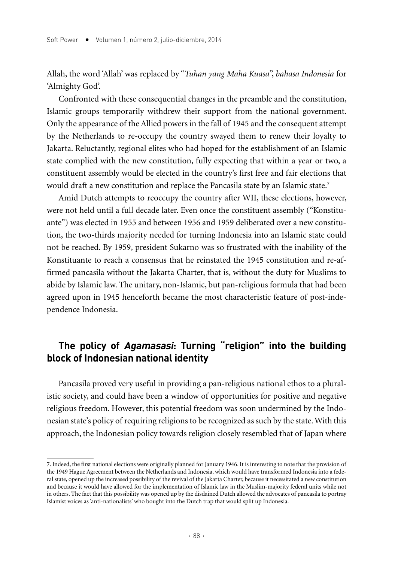Allah, the word 'Allah' was replaced by "*Tuhan yang Maha Kuasa*", *bahasa Indonesia* for 'Almighty God'.

Confronted with these consequential changes in the preamble and the constitution, Islamic groups temporarily withdrew their support from the national government. Only the appearance of the Allied powers in the fall of 1945 and the consequent attempt by the Netherlands to re-occupy the country swayed them to renew their loyalty to Jakarta. Reluctantly, regional elites who had hoped for the establishment of an Islamic state complied with the new constitution, fully expecting that within a year or two, a constituent assembly would be elected in the country's first free and fair elections that would draft a new constitution and replace the Pancasila state by an Islamic state.<sup>7</sup>

Amid Dutch attempts to reoccupy the country after WII, these elections, however, were not held until a full decade later. Even once the constituent assembly ("Konstituante") was elected in 1955 and between 1956 and 1959 deliberated over a new constitution, the two-thirds majority needed for turning Indonesia into an Islamic state could not be reached. By 1959, president Sukarno was so frustrated with the inability of the Konstituante to reach a consensus that he reinstated the 1945 constitution and re-affirmed pancasila without the Jakarta Charter, that is, without the duty for Muslims to abide by Islamic law. The unitary, non-Islamic, but pan-religious formula that had been agreed upon in 1945 henceforth became the most characteristic feature of post-independence Indonesia.

## **The policy of Agamasasi: Turning "religion" into the building block of Indonesian national identity**

Pancasila proved very useful in providing a pan-religious national ethos to a pluralistic society, and could have been a window of opportunities for positive and negative religious freedom. However, this potential freedom was soon undermined by the Indonesian state's policy of requiring religions to be recognized as such by the state. With this approach, the Indonesian policy towards religion closely resembled that of Japan where

<sup>7.</sup> Indeed, the first national elections were originally planned for January 1946. It is interesting to note that the provision of the 1949 Hague Agreement between the Netherlands and Indonesia, which would have transformed Indonesia into a federal state, opened up the increased possibility of the revival of the Jakarta Charter, because it necessitated a new constitution and because it would have allowed for the implementation of Islamic law in the Muslim-majority federal units while not in others. The fact that this possibility was opened up by the disdained Dutch allowed the advocates of pancasila to portray Islamist voices as 'anti-nationalists' who bought into the Dutch trap that would split up Indonesia.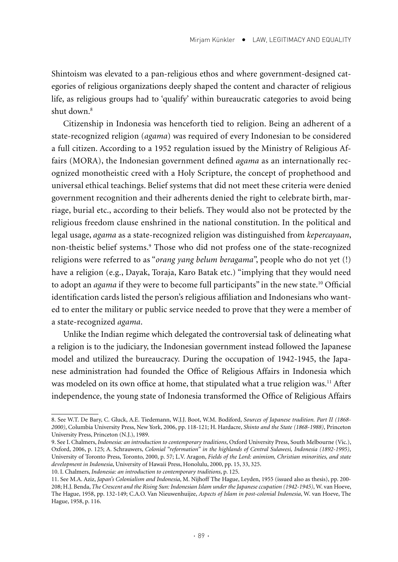Shintoism was elevated to a pan-religious ethos and where government-designed categories of religious organizations deeply shaped the content and character of religious life, as religious groups had to 'qualify' within bureaucratic categories to avoid being shut down.8

Citizenship in Indonesia was henceforth tied to religion. Being an adherent of a state-recognized religion (*agama*) was required of every Indonesian to be considered a full citizen. According to a 1952 regulation issued by the Ministry of Religious Affairs (MORA), the Indonesian government defined *agama* as an internationally recognized monotheistic creed with a Holy Scripture, the concept of prophethood and universal ethical teachings. Belief systems that did not meet these criteria were denied government recognition and their adherents denied the right to celebrate birth, marriage, burial etc., according to their beliefs. They would also not be protected by the religious freedom clause enshrined in the national constitution. In the political and legal usage, *agama* as a state-recognized religion was distinguished from *kepercayaan*, non-theistic belief systems.9 Those who did not profess one of the state-recognized religions were referred to as "*orang yang belum beragama*", people who do not yet (!) have a religion (e.g., Dayak, Toraja, Karo Batak etc.) "implying that they would need to adopt an *agama* if they were to become full participants" in the new state.<sup>10</sup> Official identification cards listed the person's religious affiliation and Indonesians who wanted to enter the military or public service needed to prove that they were a member of a state-recognized *agama*.

Unlike the Indian regime which delegated the controversial task of delineating what a religion is to the judiciary, the Indonesian government instead followed the Japanese model and utilized the bureaucracy. During the occupation of 1942-1945, the Japanese administration had founded the Office of Religious Affairs in Indonesia which was modeled on its own office at home, that stipulated what a true religion was.<sup>11</sup> After independence, the young state of Indonesia transformed the Office of Religious Affairs

<sup>8.</sup> See W.T. De Bary, C. Gluck, A.E. Tiedemann, W.J.J. Boot, W.M. Bodiford, *Sources of Japanese tradition. Part II (1868- 2000)*, Columbia University Press, New York, 2006, pp. 118-121; H. Hardacre, *Shinto and the State (1868-1988)*, Princeton University Press, Princeton (N.J.), 1989.

<sup>9.</sup> See I. Chalmers, *Indonesia: an introduction to contemporary traditions*, Oxford University Press, South Melbourne (Vic.), Oxford, 2006, p. 125; A. Schrauwers, *Colonial "reformation" in the highlands of Central Sulawesi, Indonesia (1892-1995)*, University of Toronto Press, Toronto, 2000, p. 57; L.V. Aragon, *Fields of the Lord: animism, Christian minorities, and state development in Indonesia*, University of Hawaii Press, Honolulu, 2000, pp. 15, 33, 325.

<sup>10.</sup> I. Chalmers, *Indonesia: an introduction to contemporary traditions*, p. 125.

<sup>11.</sup> See M.A. Aziz, *Japan's Colonialism and Indonesia*, M. Nijhoff The Hague, Leyden, 1955 (issued also as thesis), pp. 200- 208; H.J. Benda, *The Crescent and the Rising Sun: Indonesian Islam under the Japanese ccupation (1942-1945)*, W. van Hoeve, The Hague, 1958, pp. 132-149; C.A.O. Van Nieuwenhuijze, *Aspects of Islam in post-colonial Indonesia*, W. van Hoeve, The Hague, 1958, p. 116.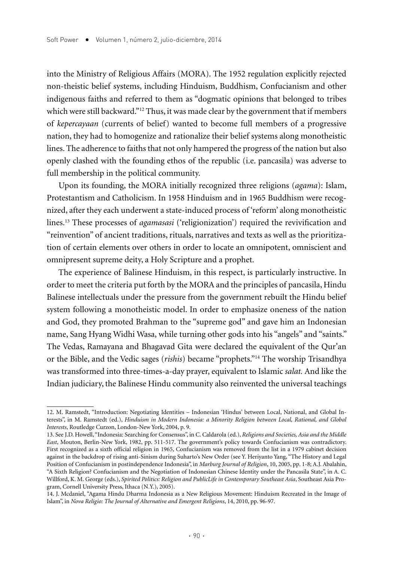into the Ministry of Religious Affairs (MORA). The 1952 regulation explicitly rejected non-theistic belief systems, including Hinduism, Buddhism, Confucianism and other indigenous faiths and referred to them as "dogmatic opinions that belonged to tribes which were still backward."<sup>12</sup> Thus, it was made clear by the government that if members of *kepercayaan* (currents of belief) wanted to become full members of a progressive nation, they had to homogenize and rationalize their belief systems along monotheistic lines. The adherence to faiths that not only hampered the progress of the nation but also openly clashed with the founding ethos of the republic (i.e. pancasila) was adverse to full membership in the political community.

Upon its founding, the MORA initially recognized three religions (*agama*): Islam, Protestantism and Catholicism. In 1958 Hinduism and in 1965 Buddhism were recognized, after they each underwent a state-induced process of 'reform' along monotheistic lines.13 These processes of *agamasasi* ('religionization') required the revivification and "reinvention" of ancient traditions, rituals, narratives and texts as well as the prioritization of certain elements over others in order to locate an omnipotent, omniscient and omnipresent supreme deity, a Holy Scripture and a prophet.

The experience of Balinese Hinduism, in this respect, is particularly instructive. In order to meet the criteria put forth by the MORA and the principles of pancasila, Hindu Balinese intellectuals under the pressure from the government rebuilt the Hindu belief system following a monotheistic model. In order to emphasize oneness of the nation and God, they promoted Brahman to the "supreme god" and gave him an Indonesian name, Sang Hyang Widhi Wasa, while turning other gods into his "angels" and "saints." The Vedas, Ramayana and Bhagavad Gita were declared the equivalent of the Qur'an or the Bible, and the Vedic sages (*rishis*) became "prophets."14 The worship Trisandhya was transformed into three-times-a-day prayer, equivalent to Islamic *salat.* And like the Indian judiciary, the Balinese Hindu community also reinvented the universal teachings

<sup>12.</sup> M. Ramstedt, "Introduction: Negotiating Identities – Indonesian 'Hindus' between Local, National, and Global Interests", in M. Ramstedt (ed.), *Hinduism in Modern Indonesia: a Minority Religion between Local, Rational, and Global Interests*, Routledge Curzon, London-New York, 2004, p. 9.

<sup>13.</sup> See J.D. Howell, "Indonesia: Searching for Consensus", in C. Caldarola (ed.), *Religions and Societies, Asia and the Middle East*, Mouton, Berlin-New York, 1982, pp. 511-517. The government's policy towards Confucianism was contradictory. First recognized as a sixth official religion in 1965, Confucianism was removed from the list in a 1979 cabinet decision against in the backdrop of rising anti-Sinism during Suharto's New Order (see Y. Heriyanto Yang, "The History and Legal Position of Confucianism in postindependence Indonesia", in *Marburg Journal of Religion*, 10, 2005, pp. 1-8; A.J. Abalahin, "A Sixth Religion? Confucianism and the Negotiation of Indonesian Chinese Identity under the Pancasila State", in A. C. Willford, K. M. George (eds.), *Spirited Politics: Religion and PublicLife in Contemporary Southeast Asia*, Southeast Asia Program, Cornell University Press, Ithaca (N.Y.), 2005).

<sup>14.</sup> J. Mcdaniel, "Agama Hindu Dharma Indonesia as a New Religious Movement: Hinduism Recreated in the Image of Islam", in *Nova Religio: The Journal of Alternative and Emergent Religions*, 14, 2010, pp. 96-97.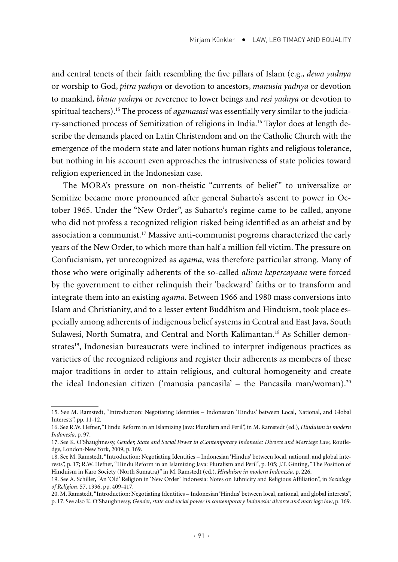and central tenets of their faith resembling the five pillars of Islam (e.g., *dewa yadnya* or worship to God, *pitra yadnya* or devotion to ancestors, *manusia yadnya* or devotion to mankind, *bhuta yadnya* or reverence to lower beings and *resi yadnya* or devotion to spiritual teachers).15 The process of *agamasasi* was essentially very similar to the judiciary-sanctioned process of Semitization of religions in India.16 Taylor does at length describe the demands placed on Latin Christendom and on the Catholic Church with the emergence of the modern state and later notions human rights and religious tolerance, but nothing in his account even approaches the intrusiveness of state policies toward religion experienced in the Indonesian case.

The MORA's pressure on non-theistic "currents of belief" to universalize or Semitize became more pronounced after general Suharto's ascent to power in October 1965. Under the "New Order", as Suharto's regime came to be called, anyone who did not profess a recognized religion risked being identified as an atheist and by association a communist.17 Massive anti-communist pogroms characterized the early years of the New Order, to which more than half a million fell victim. The pressure on Confucianism, yet unrecognized as *agama*, was therefore particular strong. Many of those who were originally adherents of the so-called *aliran kepercayaan* were forced by the government to either relinquish their 'backward' faiths or to transform and integrate them into an existing *agama*. Between 1966 and 1980 mass conversions into Islam and Christianity, and to a lesser extent Buddhism and Hinduism, took place especially among adherents of indigenous belief systems in Central and East Java, South Sulawesi, North Sumatra, and Central and North Kalimantan.<sup>18</sup> As Schiller demonstrates19, Indonesian bureaucrats were inclined to interpret indigenous practices as varieties of the recognized religions and register their adherents as members of these major traditions in order to attain religious, and cultural homogeneity and create the ideal Indonesian citizen ('manusia pancasila' – the Pancasila man/woman).20

<sup>15.</sup> See M. Ramstedt, "Introduction: Negotiating Identities – Indonesian 'Hindus' between Local, National, and Global Interests", pp. 11-12.

<sup>16.</sup> See R.W. Hefner, "Hindu Reform in an Islamizing Java: Pluralism and Peril", in M. Ramstedt (ed.), *Hinduism in modern Indonesia*, p. 97.

<sup>17.</sup> See K. O'Shaughnessy, *Gender, State and Social Power in cContemporary Indonesia: Divorce and Marriage Law*, Routledge, London-New York, 2009, p. 169.

<sup>18.</sup> See M. Ramstedt, "Introduction: Negotiating Identities – Indonesian 'Hindus' between local, national, and global interests", p. 17; R.W. Hefner, "Hindu Reform in an Islamizing Java: Pluralism and Peril", p. 105; J.T. Ginting, "The Position of Hinduism in Karo Society (North Sumatra)" in M. Ramstedt (ed.), *Hinduism in modern Indonesia*, p. 226.

<sup>19.</sup> See A. Schiller, "An 'Old' Religion in 'New Order' Indonesia: Notes on Ethnicity and Religious Affiliation", in *Sociology of Religion*, 57, 1996, pp. 409-417.

<sup>20.</sup> M. Ramstedt, "Introduction: Negotiating Identities – Indonesian 'Hindus' between local, national, and global interests", p. 17. See also K. O'Shaughnessy, *Gender, state and social power in contemporary Indonesia: divorce and marriage law*, p. 169.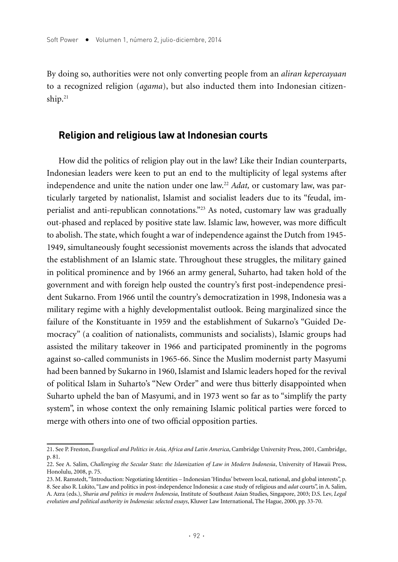By doing so, authorities were not only converting people from an *aliran kepercayaan*  to a recognized religion (*agama*), but also inducted them into Indonesian citizenship. $21$ 

#### **Religion and religious law at Indonesian courts**

How did the politics of religion play out in the law? Like their Indian counterparts, Indonesian leaders were keen to put an end to the multiplicity of legal systems after independence and unite the nation under one law.22 *Adat,* or customary law, was particularly targeted by nationalist, Islamist and socialist leaders due to its "feudal, imperialist and anti-republican connotations."23 As noted, customary law was gradually out-phased and replaced by positive state law. Islamic law, however, was more difficult to abolish. The state, which fought a war of independence against the Dutch from 1945- 1949, simultaneously fought secessionist movements across the islands that advocated the establishment of an Islamic state. Throughout these struggles, the military gained in political prominence and by 1966 an army general, Suharto, had taken hold of the government and with foreign help ousted the country's first post-independence president Sukarno. From 1966 until the country's democratization in 1998, Indonesia was a military regime with a highly developmentalist outlook. Being marginalized since the failure of the Konstituante in 1959 and the establishment of Sukarno's "Guided Democracy" (a coalition of nationalists, communists and socialists), Islamic groups had assisted the military takeover in 1966 and participated prominently in the pogroms against so-called communists in 1965-66. Since the Muslim modernist party Masyumi had been banned by Sukarno in 1960, Islamist and Islamic leaders hoped for the revival of political Islam in Suharto's "New Order" and were thus bitterly disappointed when Suharto upheld the ban of Masyumi, and in 1973 went so far as to "simplify the party system", in whose context the only remaining Islamic political parties were forced to merge with others into one of two official opposition parties.

<sup>21.</sup> See P. Freston, *Evangelical and Politics in Asia, Africa and Latin America*, Cambridge University Press, 2001, Cambridge, p. 81.

<sup>22.</sup> See A. Salim, *Challenging the Secular State: the Islamization of Law in Modern Indonesia*, University of Hawaii Press, Honolulu, 2008, p. 75.

<sup>23.</sup> M. Ramstedt, "Introduction: Negotiating Identities – Indonesian 'Hindus' between local, national, and global interests", p. 8. See also R. Lukito, "Law and politics in post-independence Indonesia: a case study of religious and *adat* courts", in A. Salim, A. Azra (eds.), *Sharia and politics in modern Indonesia*, Institute of Southeast Asian Studies, Singapore, 2003; D.S. Lev, *Legal evolution and political authority in Indonesia: selected essays*, Kluwer Law International, The Hague, 2000, pp. 33-70.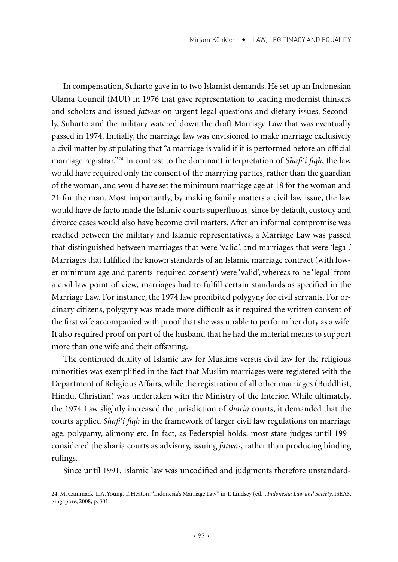In compensation, Suharto gave in to two Islamist demands. He set up an Indonesian Ulama Council (MUI) in 1976 that gave representation to leading modernist thinkers and scholars and issued *fatwas* on urgent legal questions and dietary issues. Secondly, Suharto and the military watered down the draft Marriage Law that was eventually passed in 1974. Initially, the marriage law was envisioned to make marriage exclusively a civil matter by stipulating that "a marriage is valid if it is performed before an official marriage registrar."24 In contrast to the dominant interpretation of *Shafi'i fiqh*, the law would have required only the consent of the marrying parties, rather than the guardian of the woman, and would have set the minimum marriage age at 18 for the woman and 21 for the man. Most importantly, by making family matters a civil law issue, the law would have de facto made the Islamic courts superfluous, since by default, custody and divorce cases would also have become civil matters. After an informal compromise was reached between the military and Islamic representatives, a Marriage Law was passed that distinguished between marriages that were 'valid', and marriages that were 'legal.' Marriages that fulfilled the known standards of an Islamic marriage contract (with lower minimum age and parents' required consent) were 'valid', whereas to be 'legal' from a civil law point of view, marriages had to fulfill certain standards as specified in the Marriage Law. For instance, the 1974 law prohibited polygyny for civil servants. For ordinary citizens, polygyny was made more difficult as it required the written consent of the first wife accompanied with proof that she was unable to perform her duty as a wife. It also required proof on part of the husband that he had the material means to support more than one wife and their offspring.

The continued duality of Islamic law for Muslims versus civil law for the religious minorities was exemplified in the fact that Muslim marriages were registered with the Department of Religious Affairs, while the registration of all other marriages (Buddhist, Hindu, Christian) was undertaken with the Ministry of the Interior. While ultimately, the 1974 Law slightly increased the jurisdiction of *sharia* courts, it demanded that the courts applied *Shafi'i fiqh* in the framework of larger civil law regulations on marriage age, polygamy, alimony etc. In fact, as Federspiel holds, most state judges until 1991 considered the sharia courts as advisory, issuing *fatwas*, rather than producing binding rulings.

Since until 1991, Islamic law was uncodified and judgments therefore unstandard-

<sup>24.</sup> M. Cammack, L.A. Young, T. Heaton, "Indonesia's Marriage Law", in T. Lindsey (ed.), *Indonesia: Law and Society*, ISEAS, Singapore, 2008, p. 301.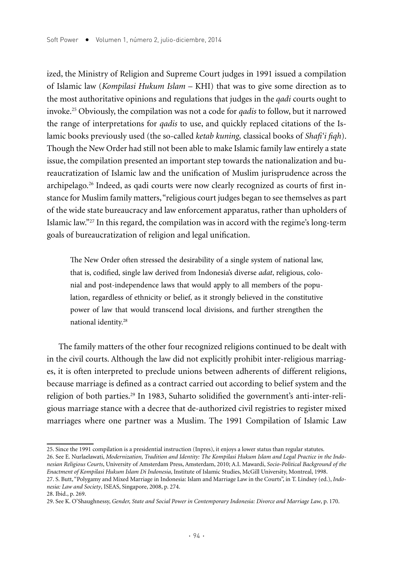ized, the Ministry of Religion and Supreme Court judges in 1991 issued a compilation of Islamic law (*Kompilasi Hukum Islam* – KHI) that was to give some direction as to the most authoritative opinions and regulations that judges in the *qadi* courts ought to invoke.25 Obviously, the compilation was not a code for *qadis* to follow, but it narrowed the range of interpretations for *qadis* to use, and quickly replaced citations of the Islamic books previously used (the so-called *ketab kuning,* classical books of *Shafi'i fiqh*). Though the New Order had still not been able to make Islamic family law entirely a state issue, the compilation presented an important step towards the nationalization and bureaucratization of Islamic law and the unification of Muslim jurisprudence across the archipelago.<sup>26</sup> Indeed, as qadi courts were now clearly recognized as courts of first instance for Muslim family matters, "religious court judges began to see themselves as part of the wide state bureaucracy and law enforcement apparatus, rather than upholders of Islamic law."27 In this regard, the compilation was in accord with the regime's long-term goals of bureaucratization of religion and legal unification.

The New Order often stressed the desirability of a single system of national law, that is, codified, single law derived from Indonesia's diverse *adat*, religious, colonial and post-independence laws that would apply to all members of the population, regardless of ethnicity or belief, as it strongly believed in the constitutive power of law that would transcend local divisions, and further strengthen the national identity.28

The family matters of the other four recognized religions continued to be dealt with in the civil courts. Although the law did not explicitly prohibit inter-religious marriages, it is often interpreted to preclude unions between adherents of different religions, because marriage is defined as a contract carried out according to belief system and the religion of both parties.29 In 1983, Suharto solidified the government's anti-inter-religious marriage stance with a decree that de-authorized civil registries to register mixed marriages where one partner was a Muslim. The 1991 Compilation of Islamic Law

<sup>25.</sup> Since the 1991 compilation is a presidential instruction (Inpres), it enjoys a lower status than regular statutes. 26. See E. Nurlaelawati, *Modernization, Tradition and Identity: The Kompilasi Hukum Islam and Legal Practice in the Indonesian Religious Courts*, University of Amsterdam Press, Amsterdam, 2010; A.I. Mawardi, *Socio-Political Background of the Enactment of Kompilasi Hukum Islam Di Indonesia*, Institute of Islamic Studies, McGill University, Montreal, 1998. 27. S. Butt, "Polygamy and Mixed Marriage in Indonesia: Islam and Marriage Law in the Courts", in T. Lindsey (ed.), *Indonesia: Law and Society*, ISEAS, Singapore, 2008, p. 274.

<sup>28.</sup> Ibid., p. 269.

<sup>29.</sup> See K. O'Shaughnessy, *Gender, State and Social Power in Contemporary Indonesia: Divorce and Marriage Law*, p. 170.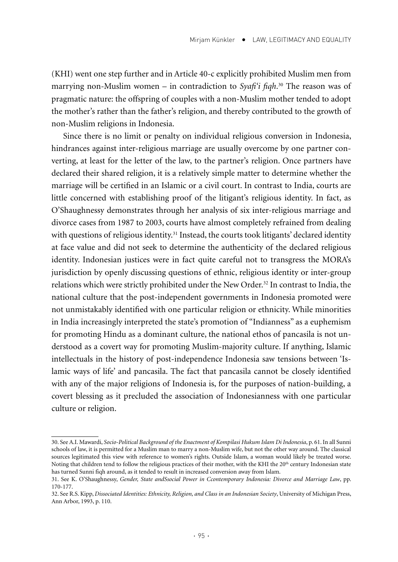(KHI) went one step further and in Article 40-c explicitly prohibited Muslim men from marrying non-Muslim women – in contradiction to *Syafi'i fiqh*. 30 The reason was of pragmatic nature: the offspring of couples with a non-Muslim mother tended to adopt the mother's rather than the father's religion, and thereby contributed to the growth of non-Muslim religions in Indonesia.

Since there is no limit or penalty on individual religious conversion in Indonesia, hindrances against inter-religious marriage are usually overcome by one partner converting, at least for the letter of the law, to the partner's religion. Once partners have declared their shared religion, it is a relatively simple matter to determine whether the marriage will be certified in an Islamic or a civil court. In contrast to India, courts are little concerned with establishing proof of the litigant's religious identity. In fact, as O'Shaughnessy demonstrates through her analysis of six inter-religious marriage and divorce cases from 1987 to 2003, courts have almost completely refrained from dealing with questions of religious identity.<sup>31</sup> Instead, the courts took litigants' declared identity at face value and did not seek to determine the authenticity of the declared religious identity. Indonesian justices were in fact quite careful not to transgress the MORA's jurisdiction by openly discussing questions of ethnic, religious identity or inter-group relations which were strictly prohibited under the New Order.<sup>32</sup> In contrast to India, the national culture that the post-independent governments in Indonesia promoted were not unmistakably identified with one particular religion or ethnicity. While minorities in India increasingly interpreted the state's promotion of "Indianness" as a euphemism for promoting Hindu as a dominant culture, the national ethos of pancasila is not understood as a covert way for promoting Muslim-majority culture. If anything, Islamic intellectuals in the history of post-independence Indonesia saw tensions between 'Islamic ways of life' and pancasila. The fact that pancasila cannot be closely identified with any of the major religions of Indonesia is, for the purposes of nation-building, a covert blessing as it precluded the association of Indonesianness with one particular culture or religion.

<sup>30.</sup> See A.I. Mawardi, *Socio-Political Background of the Enactment of Kompilasi Hukum Islam Di Indonesia*, p. 61. In all Sunni schools of law, it is permitted for a Muslim man to marry a non-Muslim wife, but not the other way around. The classical sources legitimated this view with reference to women's rights. Outside Islam, a woman would likely be treated worse. Noting that children tend to follow the religious practices of their mother, with the KHI the 20<sup>th</sup> century Indonesian state has turned Sunni fiqh around, as it tended to result in increased conversion away from Islam.

<sup>31.</sup> See K. O'Shaughnessy, *Gender, State andSsocial Power in Ccontemporary Indonesia: Divorce and Marriage Law*, pp. 170-177.

<sup>32.</sup> See R.S. Kipp, *Dissociated Identities: Ethnicity, Religion, and Class in an Indonesian Society*, University of Michigan Press, Ann Arbor, 1993, p. 110.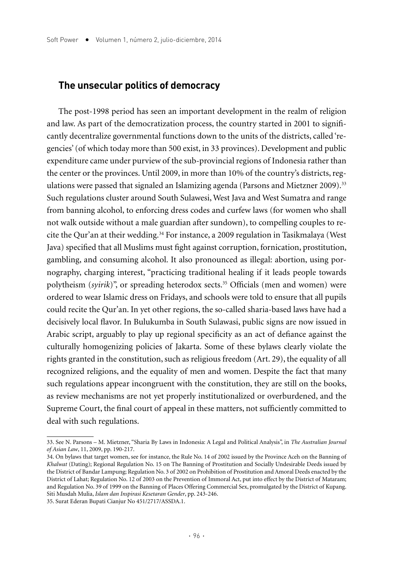#### **The unsecular politics of democracy**

The post-1998 period has seen an important development in the realm of religion and law. As part of the democratization process, the country started in 2001 to significantly decentralize governmental functions down to the units of the districts, called 'regencies' (of which today more than 500 exist, in 33 provinces). Development and public expenditure came under purview of the sub-provincial regions of Indonesia rather than the center or the provinces. Until 2009, in more than 10% of the country's districts, regulations were passed that signaled an Islamizing agenda (Parsons and Mietzner 2009).<sup>33</sup> Such regulations cluster around South Sulawesi, West Java and West Sumatra and range from banning alcohol, to enforcing dress codes and curfew laws (for women who shall not walk outside without a male guardian after sundown), to compelling couples to recite the Qur'an at their wedding.34 For instance, a 2009 regulation in Tasikmalaya (West Java) specified that all Muslims must fight against corruption, fornication, prostitution, gambling, and consuming alcohol. It also pronounced as illegal: abortion, using pornography, charging interest, "practicing traditional healing if it leads people towards polytheism (*syirik*)", or spreading heterodox sects.<sup>35</sup> Officials (men and women) were ordered to wear Islamic dress on Fridays, and schools were told to ensure that all pupils could recite the Qur'an. In yet other regions, the so-called sharia-based laws have had a decisively local flavor. In Bulukumba in South Sulawasi, public signs are now issued in Arabic script, arguably to play up regional specificity as an act of defiance against the culturally homogenizing policies of Jakarta. Some of these bylaws clearly violate the rights granted in the constitution, such as religious freedom (Art. 29), the equality of all recognized religions, and the equality of men and women. Despite the fact that many such regulations appear incongruent with the constitution, they are still on the books, as review mechanisms are not yet properly institutionalized or overburdened, and the Supreme Court, the final court of appeal in these matters, not sufficiently committed to deal with such regulations.

<sup>33.</sup> See N. Parsons – M. Mietzner, "Sharia By Laws in Indonesia: A Legal and Political Analysis", in *The Australian Journal of Asian Law*, 11, 2009, pp. 190-217.

<sup>34.</sup> On bylaws that target women, see for instance, the Rule No. 14 of 2002 issued by the Province Aceh on the Banning of *Khalwat* (Dating); Regional Regulation No. 15 on The Banning of Prostitution and Socially Undesirable Deeds issued by the District of Bandar Lampung; Regulation No. 3 of 2002 on Prohibition of Prostitution and Amoral Deeds enacted by the District of Lahat; Regulation No. 12 of 2003 on the Prevention of Immoral Act, put into effect by the District of Mataram; and Regulation No. 39 of 1999 on the Banning of Places Offering Commercial Sex, promulgated by the District of Kupang. Siti Musdah Mulia, *Islam dan Inspirasi Kesetaran Gender*, pp. 243-246.

<sup>35.</sup> Surat Ederan Bupati Cianjur No 451/2717/ASSDA.1.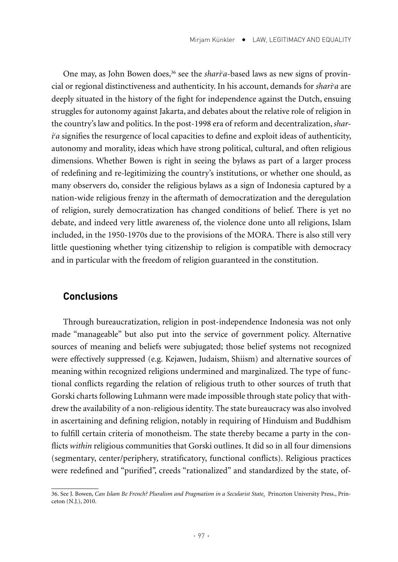One may, as John Bowen does,<sup>36</sup> see the *shari<sup>c</sup>a*-based laws as new signs of provincial or regional distinctiveness and authenticity. In his account, demands for *sharic a* are deeply situated in the history of the fight for independence against the Dutch, ensuing struggles for autonomy against Jakarta, and debates about the relative role of religion in the country's law and politics. In the post-1998 era of reform and decentralization, *shari c a* signifies the resurgence of local capacities to define and exploit ideas of authenticity, autonomy and morality, ideas which have strong political, cultural, and often religious dimensions. Whether Bowen is right in seeing the bylaws as part of a larger process of redefining and re-legitimizing the country's institutions, or whether one should, as many observers do, consider the religious bylaws as a sign of Indonesia captured by a nation-wide religious frenzy in the aftermath of democratization and the deregulation of religion, surely democratization has changed conditions of belief. There is yet no debate, and indeed very little awareness of, the violence done unto all religions, Islam included, in the 1950-1970s due to the provisions of the MORA. There is also still very little questioning whether tying citizenship to religion is compatible with democracy and in particular with the freedom of religion guaranteed in the constitution.

#### **Conclusions**

Through bureaucratization, religion in post-independence Indonesia was not only made "manageable" but also put into the service of government policy. Alternative sources of meaning and beliefs were subjugated; those belief systems not recognized were effectively suppressed (e.g. Kejawen, Judaism, Shiism) and alternative sources of meaning within recognized religions undermined and marginalized. The type of functional conflicts regarding the relation of religious truth to other sources of truth that Gorski charts following Luhmann were made impossible through state policy that withdrew the availability of a non-religious identity. The state bureaucracy was also involved in ascertaining and defining religion, notably in requiring of Hinduism and Buddhism to fulfill certain criteria of monotheism. The state thereby became a party in the conflicts *within* religious communities that Gorski outlines. It did so in all four dimensions (segmentary, center/periphery, stratificatory, functional conflicts). Religious practices were redefined and "purified", creeds "rationalized" and standardized by the state, of-

<sup>36.</sup> See J. Bowen, *Can Islam Be French? Pluralism and Pragmatism in a Secularist State*. Princeton University Press., Princeton (N.J.), 2010.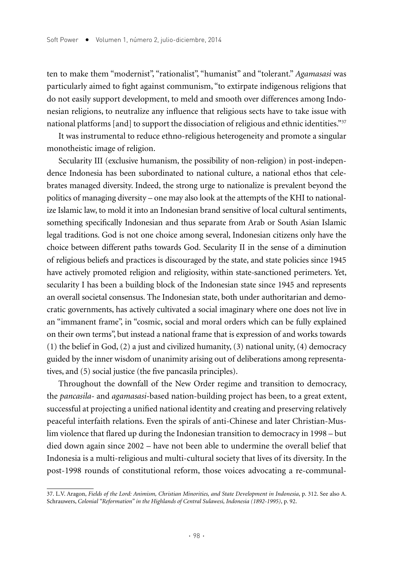ten to make them "modernist", "rationalist", "humanist" and "tolerant." *Agamasasi* was particularly aimed to fight against communism, "to extirpate indigenous religions that do not easily support development, to meld and smooth over differences among Indonesian religions, to neutralize any influence that religious sects have to take issue with national platforms [and] to support the dissociation of religious and ethnic identities."<sup>37</sup>

It was instrumental to reduce ethno-religious heterogeneity and promote a singular monotheistic image of religion.

Secularity III (exclusive humanism, the possibility of non-religion) in post-independence Indonesia has been subordinated to national culture, a national ethos that celebrates managed diversity. Indeed, the strong urge to nationalize is prevalent beyond the politics of managing diversity – one may also look at the attempts of the KHI to nationalize Islamic law, to mold it into an Indonesian brand sensitive of local cultural sentiments, something specifically Indonesian and thus separate from Arab or South Asian Islamic legal traditions. God is not one choice among several, Indonesian citizens only have the choice between different paths towards God. Secularity II in the sense of a diminution of religious beliefs and practices is discouraged by the state, and state policies since 1945 have actively promoted religion and religiosity, within state-sanctioned perimeters. Yet, secularity I has been a building block of the Indonesian state since 1945 and represents an overall societal consensus. The Indonesian state, both under authoritarian and democratic governments, has actively cultivated a social imaginary where one does not live in an "immanent frame", in "cosmic, social and moral orders which can be fully explained on their own terms", but instead a national frame that is expression of and works towards (1) the belief in God, (2) a just and civilized humanity, (3) national unity, (4) democracy guided by the inner wisdom of unanimity arising out of deliberations among representatives, and (5) social justice (the five pancasila principles).

Throughout the downfall of the New Order regime and transition to democracy, the *pancasila-* and *agamasasi*-based nation-building project has been, to a great extent, successful at projecting a unified national identity and creating and preserving relatively peaceful interfaith relations. Even the spirals of anti-Chinese and later Christian-Muslim violence that flared up during the Indonesian transition to democracy in 1998 – but died down again since 2002 – have not been able to undermine the overall belief that Indonesia is a multi-religious and multi-cultural society that lives of its diversity. In the post-1998 rounds of constitutional reform, those voices advocating a re-communal-

<sup>37.</sup> L.V. Aragon, *Fields of the Lord: Animism, Christian Minorities, and State Development in Indonesia*, p. 312. See also A. Schrauwers, *Colonial "Reformation" in the Highlands of Central Sulawesi, Indonesia (1892-1995)*, p. 92.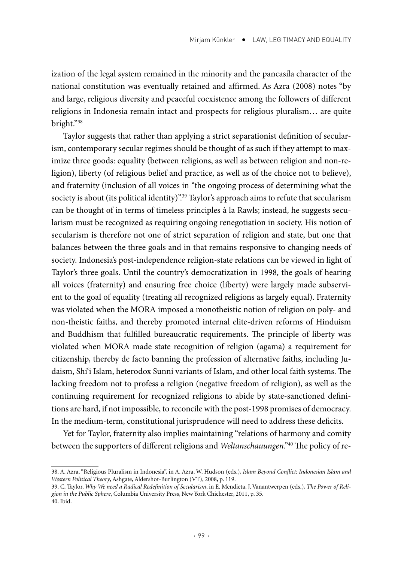ization of the legal system remained in the minority and the pancasila character of the national constitution was eventually retained and affirmed. As Azra (2008) notes "by and large, religious diversity and peaceful coexistence among the followers of different religions in Indonesia remain intact and prospects for religious pluralism… are quite bright."38

Taylor suggests that rather than applying a strict separationist definition of secularism, contemporary secular regimes should be thought of as such if they attempt to maximize three goods: equality (between religions, as well as between religion and non-religion), liberty (of religious belief and practice, as well as of the choice not to believe), and fraternity (inclusion of all voices in "the ongoing process of determining what the society is about (its political identity)".<sup>39</sup> Taylor's approach aims to refute that secularism can be thought of in terms of timeless principles à la Rawls; instead, he suggests secularism must be recognized as requiring ongoing renegotiation in society. His notion of secularism is therefore not one of strict separation of religion and state, but one that balances between the three goals and in that remains responsive to changing needs of society. Indonesia's post-independence religion-state relations can be viewed in light of Taylor's three goals. Until the country's democratization in 1998, the goals of hearing all voices (fraternity) and ensuring free choice (liberty) were largely made subservient to the goal of equality (treating all recognized religions as largely equal). Fraternity was violated when the MORA imposed a monotheistic notion of religion on poly- and non-theistic faiths, and thereby promoted internal elite-driven reforms of Hinduism and Buddhism that fulfilled bureaucratic requirements. The principle of liberty was violated when MORA made state recognition of religion (agama) a requirement for citizenship, thereby de facto banning the profession of alternative faiths, including Judaism, Shi'i Islam, heterodox Sunni variants of Islam, and other local faith systems. The lacking freedom not to profess a religion (negative freedom of religion), as well as the continuing requirement for recognized religions to abide by state-sanctioned definitions are hard, if not impossible, to reconcile with the post-1998 promises of democracy. In the medium-term, constitutional jurisprudence will need to address these deficits.

Yet for Taylor, fraternity also implies maintaining "relations of harmony and comity between the supporters of different religions and *Weltanschauungen*."40 The policy of re-

<sup>38.</sup> A. Azra, "Religious Pluralism in Indonesia", in A. Azra, W. Hudson (eds.), *Islam Beyond Conflict: Indonesian Islam and Western Political Theory*, Ashgate, Aldershot-Burlington (VT), 2008, p. 119.

<sup>39.</sup> C. Taylor, *Why We need a Radical Redefinition of Secularism*, in E. Mendieta, J. Vanantwerpen (eds.), *The Power of Religion in the Public Sphere*, Columbia University Press, New York Chichester, 2011, p. 35. 40. Ibid.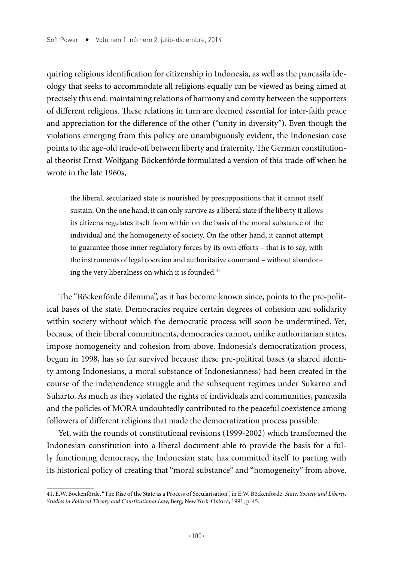quiring religious identification for citizenship in Indonesia, as well as the pancasila ideology that seeks to accommodate all religions equally can be viewed as being aimed at precisely this end: maintaining relations of harmony and comity between the supporters of different religions. These relations in turn are deemed essential for inter-faith peace and appreciation for the difference of the other ("unity in diversity"). Even though the violations emerging from this policy are unambiguously evident, the Indonesian case points to the age-old trade-off between liberty and fraternity. The German constitutional theorist Ernst-Wolfgang Böckenförde formulated a version of this trade-off when he wrote in the late 1960s,

the liberal, secularized state is nourished by presuppositions that it cannot itself sustain. On the one hand, it can only survive as a liberal state if the liberty it allows its citizens regulates itself from within on the basis of the moral substance of the individual and the homogeneity of society. On the other hand, it cannot attempt to guarantee those inner regulatory forces by its own efforts – that is to say, with the instruments of legal coercion and authoritative command – without abandoning the very liberalness on which it is founded.<sup>41</sup>

The "Böckenförde dilemma", as it has become known since, points to the pre-political bases of the state. Democracies require certain degrees of cohesion and solidarity within society without which the democratic process will soon be undermined. Yet, because of their liberal commitments, democracies cannot, unlike authoritarian states, impose homogeneity and cohesion from above. Indonesia's democratization process, begun in 1998, has so far survived because these pre-political bases (a shared identity among Indonesians, a moral substance of Indonesianness) had been created in the course of the independence struggle and the subsequent regimes under Sukarno and Suharto. As much as they violated the rights of individuals and communities, pancasila and the policies of MORA undoubtedly contributed to the peaceful coexistence among followers of different religions that made the democratization process possible.

Yet, with the rounds of constitutional revisions (1999-2002) which transformed the Indonesian constitution into a liberal document able to provide the basis for a fully functioning democracy, the Indonesian state has committed itself to parting with its historical policy of creating that "moral substance" and "homogeneity" from above.

<sup>41.</sup> E.W. Böckenförde, "The Rise of the State as a Process of Secularisation", in E.W. Böckenförde, *State, Society and Liberty. Studies in Political Theory and Constitutional Law*, Berg, New York-Oxford, 1991, p. 45.